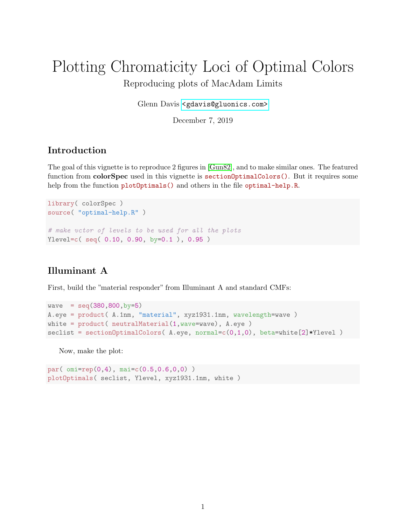# Plotting Chromaticity Loci of Optimal Colors Reproducing plots of MacAdam Limits

Glenn Davis [<gdavis@gluonics.com>]( <gdavis@gluonics.com>)

December 7, 2019

#### Introduction

The goal of this vignette is to reproduce 2 figures in [\[Gun82\]](#page-4-0), and to make similar ones. The featured function from **colorSpec** used in this vignette is **sectionOptimalColors**(). But it requires some help from the function plotOptimals() and others in the file optimal-help.R.

```
library( colorSpec )
source( "optimal-help.R" )
# make vctor of levels to be used for all the plots
Ylevel=c( seq( 0.10, 0.90, by=0.1 ), 0.95 )
```
#### Illuminant A

First, build the "material responder" from Illuminant A and standard CMFs:

```
wave = seq(380, 800, by=5)A.eye = product( A.1nm, "material", xyz1931.1nm, wavelength=wave )
white = product( neutralMaterial(1,wave=wave), A.eye )
\text{seclist} = \text{section} \text{OptimalColors}( A.\text{eye}, \text{normal=c}(0,1,0), \text{ beta=white}[2]* \text{Ylevel } )
```
Now, make the plot:

```
par( omi=rep(0,4), mai=c(0.5,0.6,0,0) )
plotOptimals( seclist, Ylevel, xyz1931.1nm, white )
```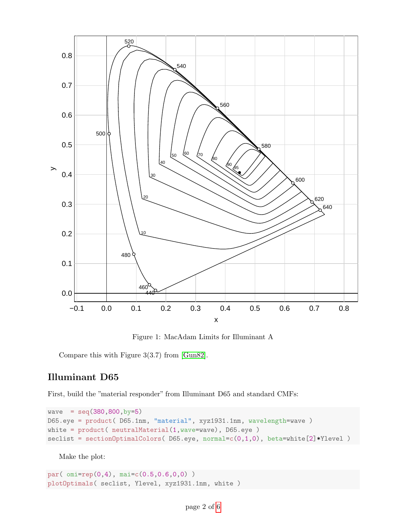

Figure 1: MacAdam Limits for Illuminant A

Compare this with Figure 3(3.7) from [\[Gun82\]](#page-4-0).

#### Illuminant D65

First, build the "material responder" from Illuminant D65 and standard CMFs:

```
wave = seq(380,800,by=5)
D65.eye = product( D65.1nm, "material", xyz1931.1nm, wavelength=wave )
white = product( neutralMaterial(1,wave=wave), D65.eye )
\text{seclist} = \text{sectionOptimalColors}(\text{D65.eye}, \text{normal=c}(0,1,0), \text{beta=white}[2]* \text{Ylevel})
```
Make the plot:

```
par( omi=rep(0,4), mai=c(0.5,0.6,0,0) )
plotOptimals( seclist, Ylevel, xyz1931.1nm, white )
```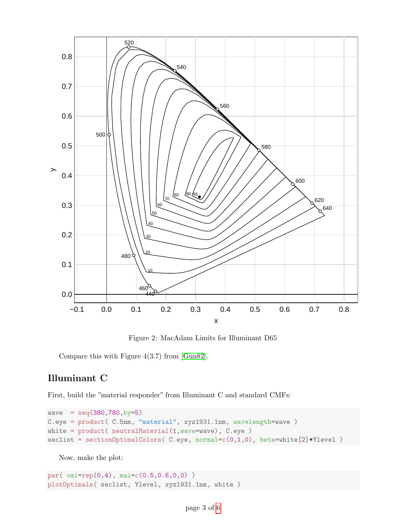

Figure 2: MacAdam Limits for Illuminant D65

Compare this with Figure 4(3.7) from [\[Gun82\]](#page-4-0).

## Illuminant C

First, build the "material responder" from Illuminant C and standard CMFs:

```
wave = seq(380, 780, by=5)C.eye = product( C.5nm, "material", xyz1931.1nm, wavelength=wave )
white = product( neutralMaterial(1,wave=wave), C.eye )
seclist = sectionOptimalColors( C.eye, normal=c(0,1,0), beta=white[2]*Ylevel )
```
Now, make the plot:

par( omi=rep(0,4), mai=c(0.5,0.6,0,0) ) plotOptimals( seclist, Ylevel, xyz1931.1nm, white )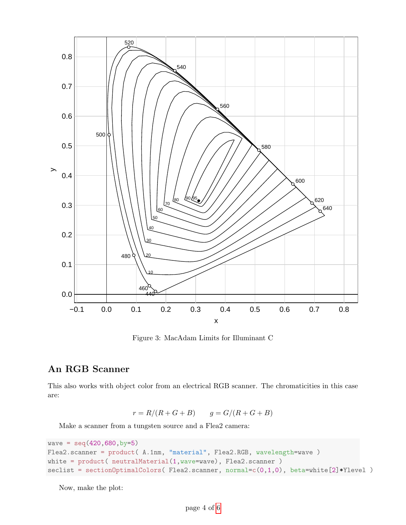

Figure 3: MacAdam Limits for Illuminant C

## An RGB Scanner

This also works with object color from an electrical RGB scanner. The chromaticities in this case are:

 $r = R/(R + G + B)$   $q = G/(R + G + B)$ 

Make a scanner from a tungsten source and a Flea2 camera:

```
wave = seq(420, 680, by=5)Flea2.scanner = product( A.1nm, "material", Flea2.RGB, wavelength=wave )
white = product( neutralMaterial(1,wave=wave), Flea2.scanner )
seclist = sectionOptimalColors( Flea2.scanner, normal=c(0,1,0), beta=white[2]*Ylevel )
```
Now, make the plot: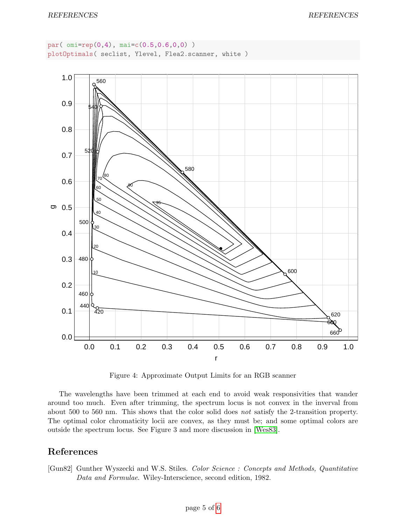```
par( omi=rep(0,4), mai=c(0.5,0.6,0,0) )
plotOptimals( seclist, Ylevel, Flea2.scanner, white )
```


Figure 4: Approximate Output Limits for an RGB scanner

The wavelengths have been trimmed at each end to avoid weak responsivities that wander around too much. Even after trimming, the spectrum locus is not convex in the inverval from about 500 to 560 nm. This shows that the color solid does not satisfy the 2-transition property. The optimal color chromaticity locii are convex, as they must be; and some optimal colors are outside the spectrum locus. See Figure 3 and more discussion in [\[Wes83\]](#page-5-1).

## References

<span id="page-4-0"></span>[Gun82] Gunther Wyszecki and W.S. Stiles. Color Science : Concepts and Methods, Quantitative Data and Formulae. Wiley-Interscience, second edition, 1982.